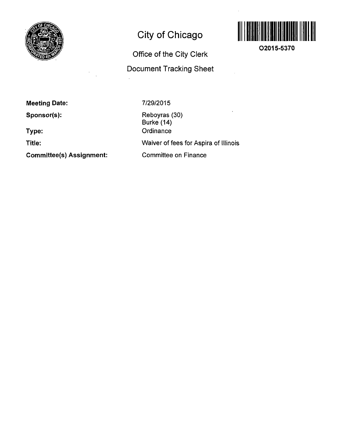

# **City of Chicago**

**Office of the City Clerk Document Tracking Sheet** 



**O2015-5370** 

**Meeting Date:** 

**Sponsor(s):** 

**Type:** 

**Title:** 

**Committee(s) Assignment:** 

7/29/2015

Reboyras (30) Burke (14) **Ordinance** Waiver of fees for Aspira of Illinois Committee on Finance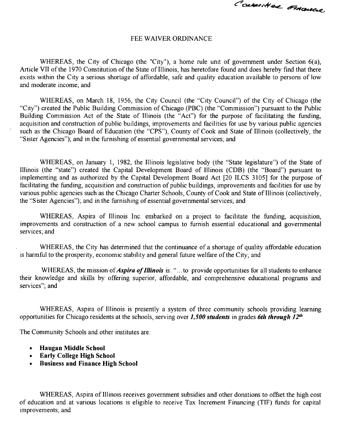Convertice ornauce

#### FEE WAIVER ORDINANCE

WHEREAS, the City of Chicago (the "City"), a home rule unit of government under Section 6(a), Article VII of the 1970 Constitution of the State of Illinois, has heretofore found and does hereby find that there exists within the City a serious shortage of affordable, safe and quality education available to persons of low and moderate income; and

WHEREAS, on March 18, 1956, the City Council (the "City Council") of the City of Chicago (the "City") created the Public Building Commission of Chicago (PBC) (the "Commission") pursuant to the Public Building Commission Act of the State of Illinois (the "Act") for the purpose of facilitating the funding, acquisition and construction of public buildings, improvements and facilities for use by various public agencies such as the Chicago Board of Education (the "CPS"), County of Cook and State of Illinois (collectively, the "Sister Agencies"); and in the furnishing of essential governmental services; and

WHEREAS, on January 1, 1982, the Illinois legislative body (the "State legislature") of the State of Illinois (the "state") created the Capital Development Board of Illinois (CDB) (the "Board") pursuant to implementing and as authorized by the Capital Development Board Act [20 ILCS 3105] for the purpose of facilitating the funding, acquisition and construction of public buildings, improvements and facilities for use by various public agencies such as the Chicago Charter Schools, County of Cook and State of Illinois (collectively, the "Sister Agencies"); and in the furnishing of essential governmental services; and

WHEREAS, Aspira of Illinois Inc. embarked on a project to facilitate the funding, acquisition, improvements and construction of a new school campus to furnish essential educational and governmental services; and

WHEREAS, the City has determined that the continuance of a shortage of quality affordable education is harmful to the prosperity, economic stability and general future welfare of the City; and

WHEREAS, the mission of *Aspira of Illinois* is: "...to provide opportunities for all students to enhance their knowledge and skills by offering superior, affordable, and comprehensive educational programs and services"; and

WHEREAS, Aspira of Illinois is presently a system of three community schools providing learning *opportunities for Chicago residents at the schools, serving over 1,500 students in grades 6th through 12"'.* 

The Community Schools and other institutes are:

- **Haugan Middle School**
- **Early College High School**
- **Business and Finance High School**

WHEREAS, Aspira of Illinois receives government subsidies and other donations to offset the high cost of education and at various locations is eligible to receive Tax Increment Financing (TIF) funds for capital improvements; and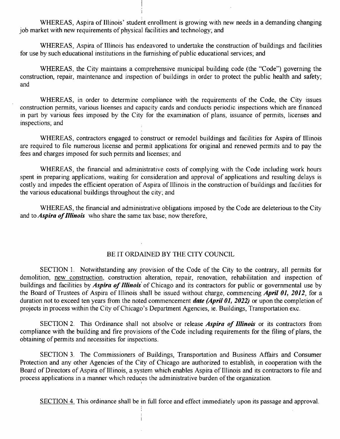WHEREAS, Aspira of Illinois' student enrollment is growing with new needs in a demanding changing job market with new requirements of physical facilities and technology, and

WHEREAS, Aspira of Illinois has endeavored to undertake the construction of buildings and facilities for use by such educational institutions in the furnishing of public educational services, and

WHEREAS, the City maintains a comprehensive municipal building code (the "Code") governing the construction, repair, maintenance and inspection of buildings in order to protect the public health and safety; and

WHEREAS, in order to determine compliance with the requirements of the Code, the City issues construction permits, various licenses and capacity cards and conducts periodic inspections which are financed in part by various fees imposed by the City for the examination of plans, issuance of permits, licenses and inspections; and

WHEREAS, contractors engaged to construct or remodel buildings and facilities for Aspira of Illinois are required to file numerous license and permit applications for original and renewed permits and to pay the fees and charges imposed for such permits and licenses; and

WHEREAS, the financial and administrative costs of complying with the Code including work hours spent in preparing applications, waiting for consideration and approval of applications and resulting delays is costly and impedes the efficient operation of Aspira of Illinois in the construction of buildings and facilities for the various educational buildings throughout the city; and

WHEREAS, the financial and administrative obligations imposed by the Code are deleterious to the City and to *Aspira of Illinois* who share the same tax base; now therefore,

### BE IT ORDAINED BY THE CITY COUNCIL

SECTION 1. Notwithstanding any provision of the Code of the City to the contrary, all permits for demolition, new construction, construction alteration, repair, renovation, rehabilitation and inspection of buildings and facilities by *Aspira of Illinois* of Chicago and its contractors for public or governmental use by the Board of Trustees of Aspira of Illinois shall be issued without charge, commencing *April 01, 2012*, for a duration not to exceed ten years from the noted commencement *date (April 01, 2022)* or upon the completion of projects in process within the City of Chicago's Department Agencies, ie. Buildings, Transportation exc.

SECTION 2. This Ordinance shall not absolve or release *Aspira of Illinois* or its contractors from compliance with the building and fire provisions of the Code including requirements for the filing of plans, the obtaining of permits and necessities for inspections.

SECTION 3. The Commissioners of Buildings, Transportation and Business Affairs and Consumer Protection and any other Agencies of the City of Chicago are authorized to establish, in cooperation with the Board of Directors of Aspira of Illinois, a system which enables Aspira of Illinois and its contractors to file and process applications in a manner which reduces the administrative burden of the organization.

SECTION 4. This ordinance shall be in full force and effect immediately upon its passage and approval.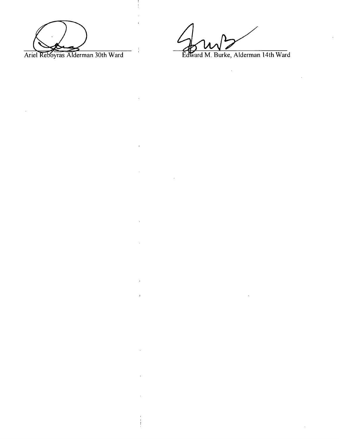Ariel Reboyras Alderman 30th Ward Edward M. Burke, Alderman 14th Ward

 $\frac{1}{4}$ 

 $\ddot{\phantom{0}}$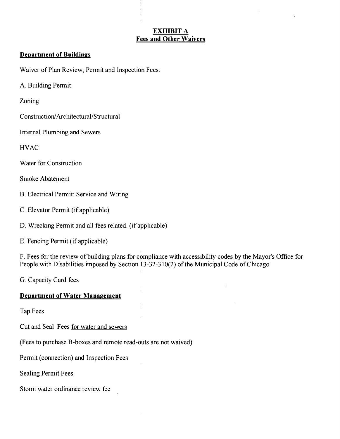### **EXHIBIT A Fees and Other Waivers**

#### **Department of Buildings**

Waiver of Plan Review, Permit and Inspection Fees:

A. Building Permit:

Zoning

Construction/Architectural/Structural

Internal Plumbing and Sewers

**HVAC** 

Water for Construction

Smoke Abatement

B. Electrical Permit: Service and Wiring

C. Elevator Permit (if applicable)

D. Wrecking Permit and all fees related, (if applicable)

E. Fencing Permit (if applicable)

F. Fees for the review of building plans for compliance with accessibility codes by the Mayor's Office for People with Disabilities imposed by Section 13-32-310(2) of the Municipal Code of Chicago

**G. Capacity Card fees** 

#### **Department of Water Management**

Tap Fees

Cut and Seal Fees for water and sewers

(Fees to purchase B-boxes and remote read-outs are not waived)

Permit (connection) and Inspection Fees

Sealing Permit Fees

Storm water ordinance review fee